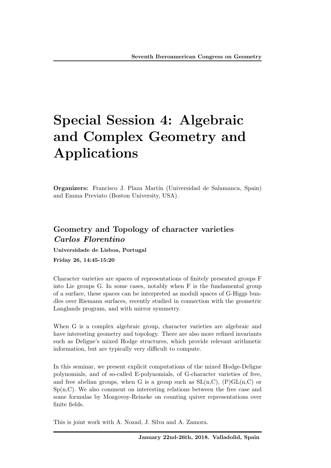# Special Session 4: Algebraic and Complex Geometry and Applications

Organizers: Francisco J. Plaza Martín (Universidad de Salamanca, Spain) and Emma Previato (Boston University, USA).

# Geometry and Topology of character varieties *Carlos Florentino*

Universidade de Lisboa, Portugal

Friday 26, 14:45-15:20

Character varieties are spaces of representations of finitely presented groups F into Lie groups G. In some cases, notably when F is the fundamental group of a surface, these spaces can be interpreted as moduli spaces of G-Higgs bundles over Riemann surfaces, recently studied in connection with the geometric Langlands program, and with mirror symmetry.

When G is a complex algebraic group, character varieties are algebraic and have interesting geometry and topology. There are also more refined invariants such as Deligne's mixed Hodge structures, which provide relevant arithmetic information, but are typically very difficult to compute.

In this seminar, we present explicit computations of the mixed Hodge-Deligne polynomials, and of so-called E-polynomials, of G-character varieties of free, and free abelian groups, when G is a group such as  $SL(n, C)$ ,  $(P)GL(n, C)$  or  $Sp(n, C)$ . We also comment on interesting relations between the free case and some formulas by Mozgovoy-Reineke on counting quiver representations over finite fields.

This is joint work with A. Nozad, J. Silva and A. Zamora.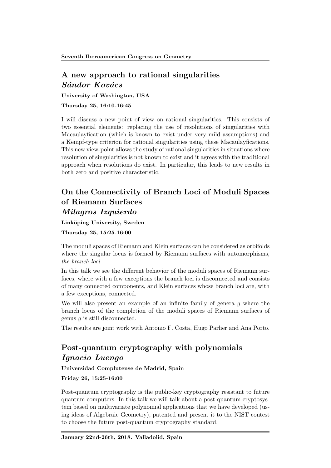## A new approach to rational singularities *S´andor Kov´acs*

University of Washington, USA

Thursday 25, 16:10-16:45

I will discuss a new point of view on rational singularities. This consists of two essential elements: replacing the use of resolutions of singularities with Macaulayfication (which is known to exist under very mild assumptions) and a Kempf-type criterion for rational singularities using these Macaulayfications. This new view-point allows the study of rational singularities in situations where resolution of singularities is not known to exist and it agrees with the traditional approach when resolutions do exist. In particular, this leads to new results in both zero and positive characteristic.

# On the Connectivity of Branch Loci of Moduli Spaces of Riemann Surfaces *Milagros Izquierdo*

Linköping University, Sweden

Thursday 25, 15:25-16:00

The moduli spaces of Riemann and Klein surfaces can be considered as orbifolds where the singular locus is formed by Riemann surfaces with automorphisms, *the branch loci*.

In this talk we see the different behavior of the moduli spaces of Riemann surfaces, where with a few exceptions the branch loci is disconnected and consists of many connected components, and Klein surfaces whose branch loci are, with a few exceptions, connected.

We will also present an example of an infinite family of genera *g* where the branch locus of the completion of the moduli spaces of Riemann surfaces of genus *g* is still disconnected.

The results are joint work with Antonio F. Costa, Hugo Parlier and Ana Porto.

## Post-quantum cryptography with polynomials *Ignacio Luengo*

Universidad Complutense de Madrid, Spain

Friday 26, 15:25-16:00

Post-quantum cryptography is the public-key cryptography resistant to future quantum computers. In this talk we will talk about a post-quantum cryptosystem based on multivariate polynomial applications that we have developed (using ideas of Algebraic Geometry), patented and present it to the NIST contest to choose the future post-quantum cryptography standard.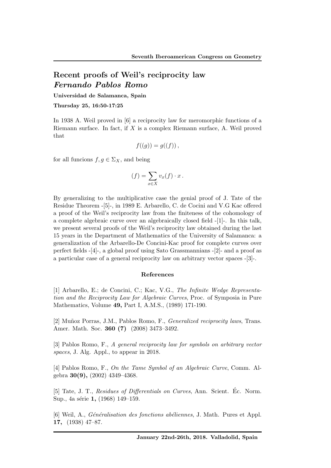### Recent proofs of Weil's reciprocity law *Fernando Pablos Romo*

#### Universidad de Salamanca, Spain

Thursday 25, 16:50-17:25

In 1938 A. Weil proved in [6] a reciprocity law for meromorphic functions of a Riemann surface. In fact, if *X* is a complex Riemann surface, A. Weil proved that

$$
f((g)) = g((f)),
$$

for all funcions  $f, g \in \Sigma_X$ , and being

$$
(f) = \sum_{x \in X} v_x(f) \cdot x \, .
$$

By generalizing to the multiplicative case the genial proof of J. Tate of the Residue Theorem -[5]-, in 1989 E. Arbarello, C. de Cocini and V.G Kac offered a proof of the Weil's reciprocity law from the finiteness of the cohomology of a complete algebraic curve over an algebraically closed field -[1]-. In this talk, we present several proofs of the Weil's reciprocity law obtained during the last 15 years in the Department of Mathematics of the University of Salamanca: a generalization of the Arbarello-De Concini-Kac proof for complete curves over perfect fields -[4]-, a global proof using Sato Grassmannians -[2]- and a proof as a particular case of a general reciprocity law on arbitrary vector spaces -[3]-.

#### References

[1] Arbarello, E.; de Concini, C.; Kac, V.G., *The Infinite Wedge Representation and the Reciprocity Law for Algebraic Curves*, Proc. of Symposia in Pure Mathematics, Volume 49, Part I, A.M.S., (1989) 171-190.

[2] Mu˜noz Porras, J.M., Pablos Romo, F., *Generalized reciprocity laws*, Trans. Amer. Math. Soc. 360 (7) (2008) 3473–3492.

[3] Pablos Romo, F., *A general reciprocity law for symbols on arbitrary vector spaces*, J. Alg. Appl., to appear in 2018.

[4] Pablos Romo, F., *On the Tame Symbol of an Algebraic Curve*, Comm. Algebra 30(9), (2002) 4349–4368.

[5] Tate, J. T., *Residues of Differentials on Curves*, Ann. Scient. Éc. Norm. Sup., 4a série 1, (1968) 149–159.

[6] Weil, A., *G´en´eralisation des fonctions ab´eliennes*, J. Math. Pures et Appl. 17, (1938) 47–87.